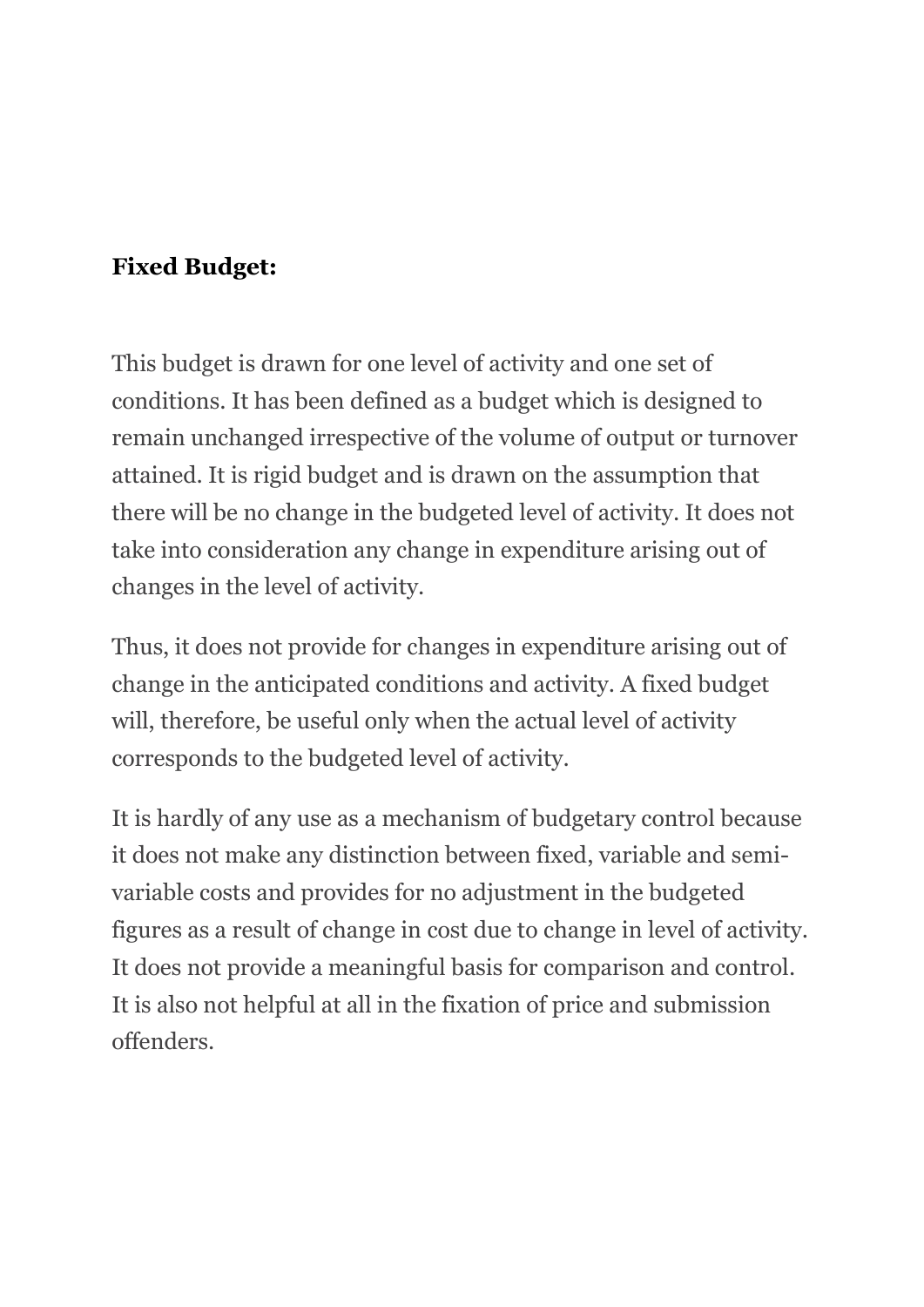#### **Fixed Budget:**

This budget is drawn for one level of activity and one set of conditions. It has been defined as a budget which is designed to remain unchanged irrespective of the volume of output or turnover attained. It is rigid budget and is drawn on the assumption that there will be no change in the budgeted level of activity. It does not take into consideration any change in expenditure arising out of changes in the level of activity.

Thus, it does not provide for changes in expenditure arising out of change in the anticipated conditions and activity. A fixed budget will, therefore, be useful only when the actual level of activity corresponds to the budgeted level of activity.

It is hardly of any use as a mechanism of budgetary control because it does not make any distinction between fixed, variable and semivariable costs and provides for no adjustment in the budgeted figures as a result of change in cost due to change in level of activity. It does not provide a meaningful basis for comparison and control. It is also not helpful at all in the fixation of price and submission offenders.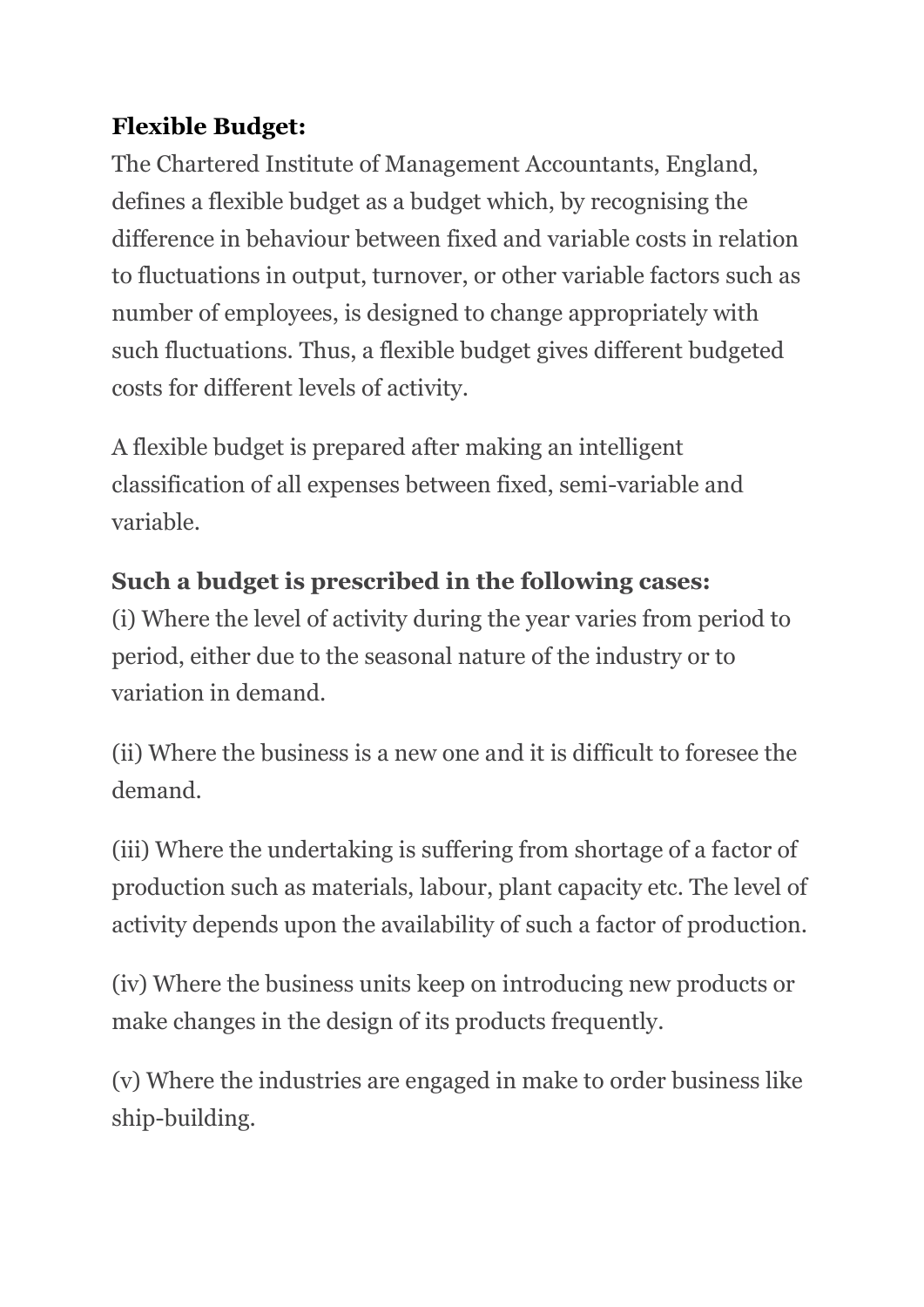#### **Flexible Budget:**

The Chartered Institute of Management Accountants, England, defines a flexible budget as a budget which, by recognising the difference in behaviour between fixed and variable costs in relation to fluctuations in output, turnover, or other variable factors such as number of employees, is designed to change appropriately with such fluctuations. Thus, a flexible budget gives different budgeted costs for different levels of activity.

A flexible budget is prepared after making an intelligent classification of all expenses between fixed, semi-variable and variable.

# **Such a budget is prescribed in the following cases:**

(i) Where the level of activity during the year varies from period to period, either due to the seasonal nature of the industry or to variation in demand.

(ii) Where the business is a new one and it is difficult to foresee the demand.

(iii) Where the undertaking is suffering from shortage of a factor of production such as materials, labour, plant capacity etc. The level of activity depends upon the availability of such a factor of production.

(iv) Where the business units keep on introducing new products or make changes in the design of its products frequently.

(v) Where the industries are engaged in make to order business like ship-building.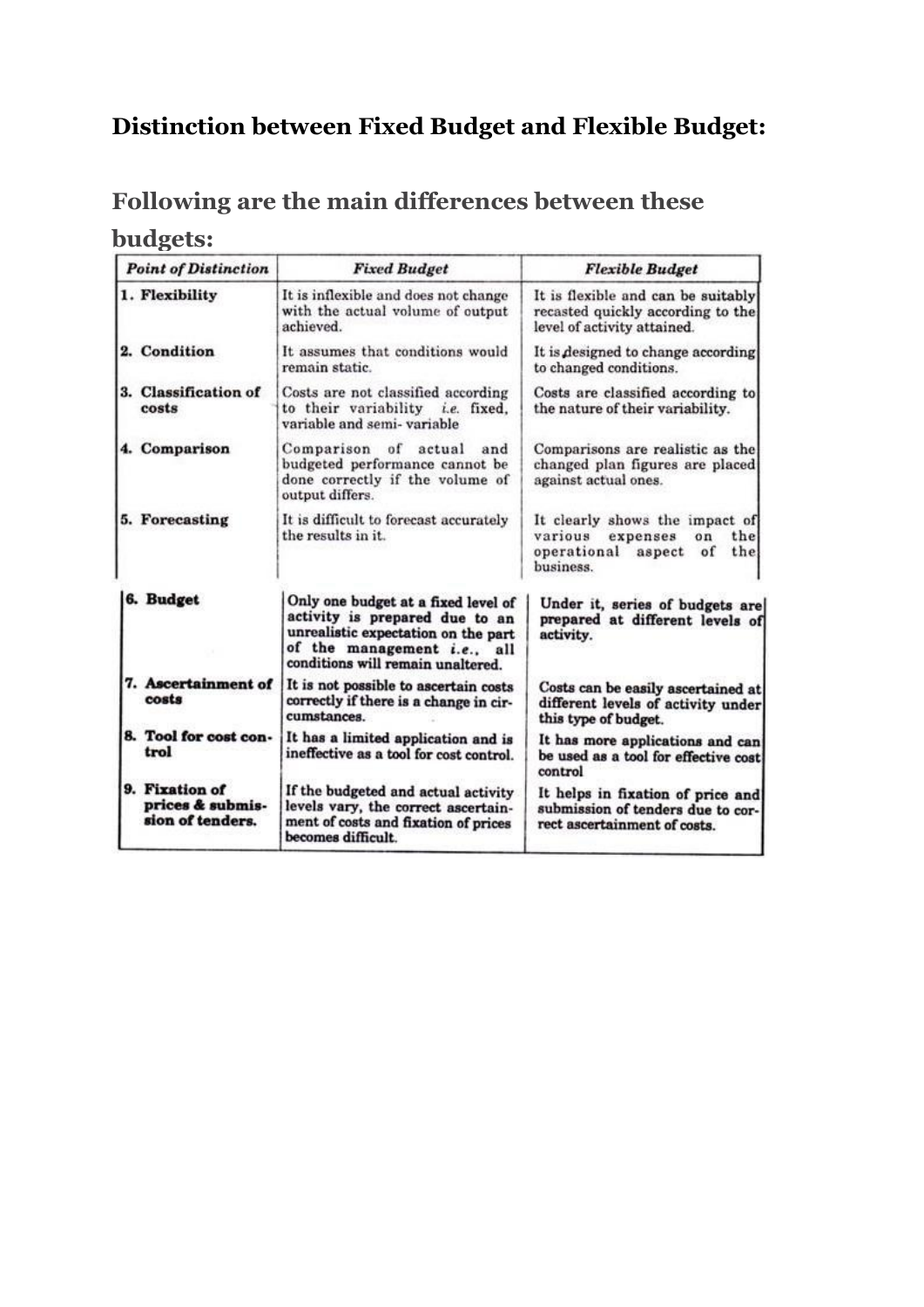#### **Distinction between Fixed Budget and Flexible Budget:**

## **Following are the main differences between these**

#### **budgets:**

| <b>Point of Distinction</b>                            | <b>Fixed Budget</b>                                                                                                                                                              | <b>Flexible Budget</b>                                                                                            |  |  |
|--------------------------------------------------------|----------------------------------------------------------------------------------------------------------------------------------------------------------------------------------|-------------------------------------------------------------------------------------------------------------------|--|--|
| 1. Flexibility                                         | It is inflexible and does not change<br>with the actual volume of output<br>achieved.                                                                                            | It is flexible and can be suitably<br>recasted quickly according to the<br>level of activity attained.            |  |  |
| 2. Condition                                           | It assumes that conditions would<br>remain static.                                                                                                                               | It is designed to change according<br>to changed conditions.                                                      |  |  |
| 3. Classification of<br>costs                          | Costs are not classified according<br>to their variability i.e. fixed,<br>variable and semi-variable                                                                             | Costs are classified according to<br>the nature of their variability.                                             |  |  |
| 4. Comparison                                          | Comparison of<br>actual<br>and<br>budgeted performance cannot be<br>done correctly if the volume of<br>output differs.                                                           | Comparisons are realistic as the<br>changed plan figures are placed<br>against actual ones.                       |  |  |
| 5. Forecasting                                         | It is difficult to forecast accurately<br>the results in it.                                                                                                                     | It clearly shows the impact of<br>the<br>various expenses<br>$_{on}$<br>operational aspect of<br>the<br>business. |  |  |
| 6. Budget                                              | Only one budget at a fixed level of<br>activity is prepared due to an<br>unrealistic expectation on the part<br>of the management i.e., all<br>conditions will remain unaltered. | Under it, series of budgets are<br>prepared at different levels of<br>activity.                                   |  |  |
| 7. Ascertainment of<br>costs                           | It is not possible to ascertain costs<br>correctly if there is a change in cir-<br>cumstances.                                                                                   | Costs can be easily ascertained at<br>different levels of activity under<br>this type of budget.                  |  |  |
| 8. Tool for cost con-<br>trol                          | It has a limited application and is<br>ineffective as a tool for cost control.                                                                                                   | It has more applications and can<br>be used as a tool for effective cost<br>control                               |  |  |
| 9. Fixation of<br>prices & submis-<br>sion of tenders. | If the budgeted and actual activity<br>levels vary, the correct ascertain-<br>ment of costs and fixation of prices<br>becomes difficult.                                         | It helps in fixation of price and<br>submission of tenders due to cor-<br>rect ascertainment of costs.            |  |  |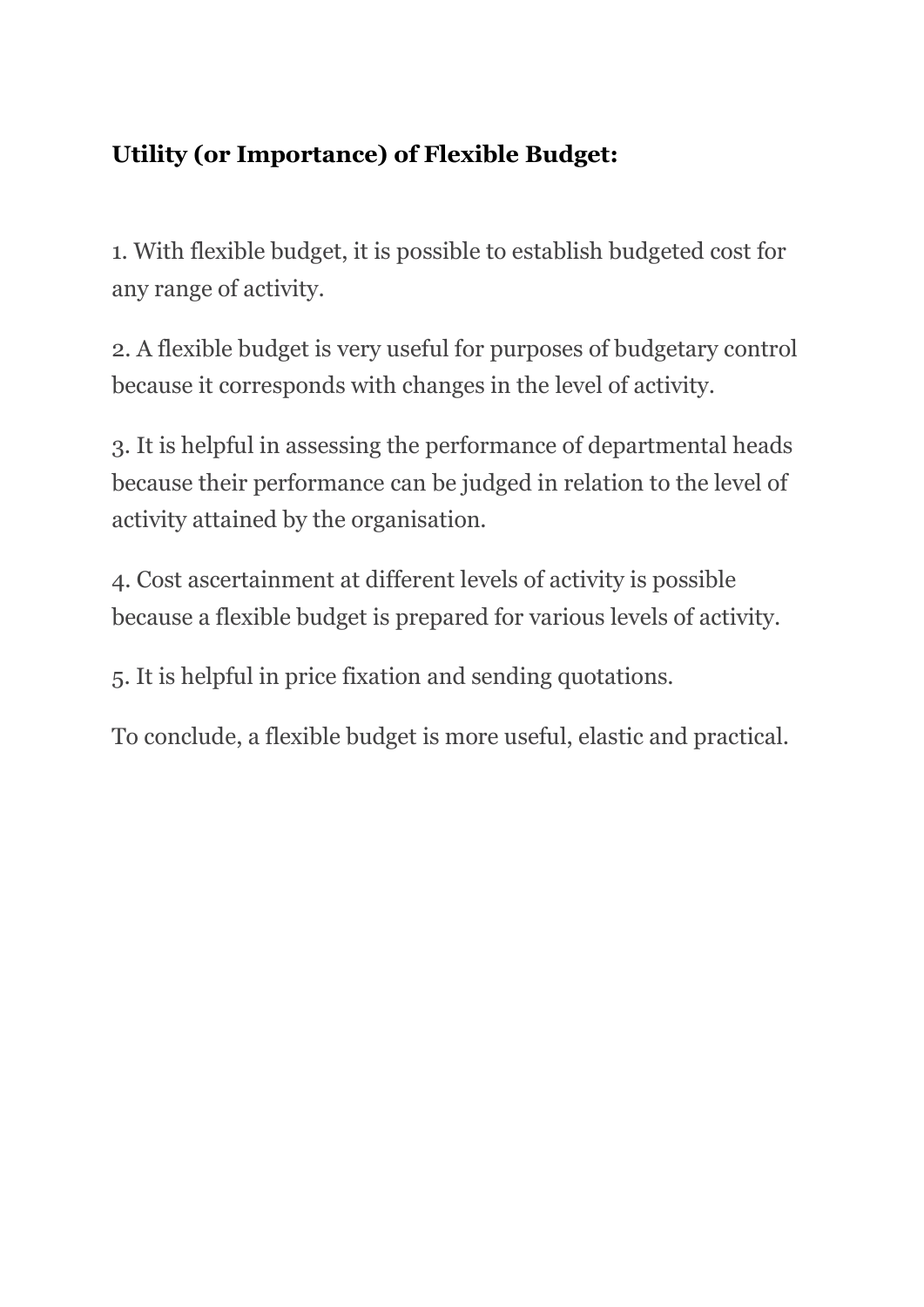## **Utility (or Importance) of Flexible Budget:**

1. With flexible budget, it is possible to establish budgeted cost for any range of activity.

2. A flexible budget is very useful for purposes of budgetary control because it corresponds with changes in the level of activity.

3. It is helpful in assessing the performance of departmental heads because their performance can be judged in relation to the level of activity attained by the organisation.

4. Cost ascertainment at different levels of activity is possible because a flexible budget is prepared for various levels of activity.

5. It is helpful in price fixation and sending quotations.

To conclude, a flexible budget is more useful, elastic and practical.